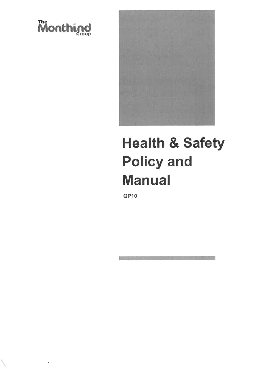



# **Health & Safety Policy and Manual**

 $QP10$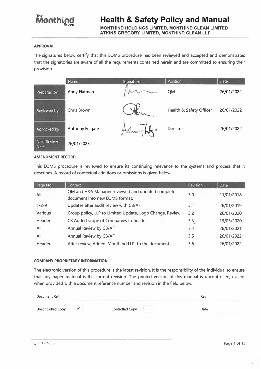## **Monthing**

#### **Health & Safety Policy and Manual MONTHIND HOLDINGS LIMITED, MONTHIND CLEAN LIMITED**

**ATKINS GREGORY LIMITED, MONTHIND CLEAN LLP** 

#### **APPROVAL**

The signatures below certify that this EQMS procedure has been reviewed and accepted and demonstrates that the signatories are aware of all the requirements contained herein and are committed to ensuring their provision.

|                            | Name                   | Signature    | Position                | <b>Date</b> |
|----------------------------|------------------------|--------------|-------------------------|-------------|
| Prepared by                | Andy Flatman           |              | <b>QM</b>               | 26/01/2022  |
| Reviewed by                | Chris Brown            | ten          | Health & Safety Officer | 26/01/2022  |
| Approved by                | <b>Anthony Felgate</b> | Holloy helps | <b>Director</b>         | 26/01/2022  |
| <b>Next Review</b><br>Date | 26/01/2023             |              |                         |             |

#### **AMENDMENT RECORD**

This EQMS procedure is reviewed to ensure its continuing relevance to the systems and process that it describes. A record of contextual additions or omissions is given below:

| Page No.       | Context                                                                            | Revision | <b>Date</b> |
|----------------|------------------------------------------------------------------------------------|----------|-------------|
| All            | QM and H&S Manager reviewed and updated complete<br>document into new EQMS format. | 3.0      | 11/01/2018  |
| $1 - 2 - 9$    | Updates after audit review with CB/AF                                              | 3.1      | 26/01/2019  |
| <b>Various</b> | Group policy, LLP to Limited Update, Logo Change. Review.                          | 3.2      | 26/01/2020  |
| Header         | CB Added scope of Companies to header.                                             | 3.3      | 19/05/2020  |
| All            | Annual Review by CB/AF                                                             | 3,4      | 26/01/2021  |
| All            | Annual Review by CB/AF                                                             | 3.5      | 26/01/2022  |
| Header         | After review, Added 'Monthind LLP' to the document.                                | 3.6      | 26/01/2022  |

#### **COMPANY PROPRIETARY INFORMATION**

The electronic version of this procedure is the latest revision. It is the responsibility of the individual to ensure that any paper material is the current revision. The printed version of this manual is uncontrolled, except when provided with a document reference number and revision in the field below:

| Document Ref.     |     |                 | Rev         |
|-------------------|-----|-----------------|-------------|
| Uncontrolled Copy | --- | Controlled Copy | Date<br>___ |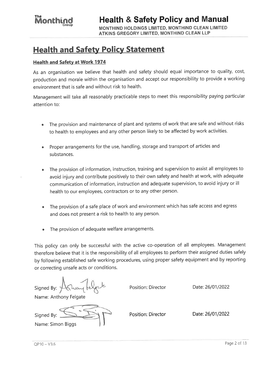MONTHIND HOLDINGS LIMITED, MONTHIND CLEAN LIMITED ATKINS GREGORY LIMITED, MONTHIND CLEAN LLP

## **Health and Safety Policy Statement**

#### **Health and Safety at Work 1974**

As an organisation we believe that health and safety should equal importance to quality, cost, production and morale within the organisation and accept our responsibility to provide a working environment that is safe and without risk to health.

Management will take all reasonably practicable steps to meet this responsibility paying particular attention to:

- The provision and maintenance of plant and systems of work that are safe and without risks to health to employees and any other person likely to be affected by work activities.
- Proper arrangements for the use, handling, storage and transport of articles and substances.
- The provision of information, instruction, training and supervision to assist all employees to avoid injury and contribute positively to their own safety and health at work, with adequate communication of information, instruction and adequate supervision, to avoid injury or ill health to our employees, contractors or to any other person.
- The provision of a safe place of work and environment which has safe access and egress  $\bullet$ and does not present a risk to health to any person.
- The provision of adequate welfare arrangements.

This policy can only be successful with the active co-operation of all employees. Management therefore believe that it is the responsibility of all employees to perform their assigned duties safely by following established safe working procedures, using proper safety equipment and by reporting or correcting unsafe acts or conditions.

Position: Director Signed By: Date: 26/01/2022 Name: Anthony Felgate Position: Director Date: 26/01/2022 Signed By: Name: Simon Biggs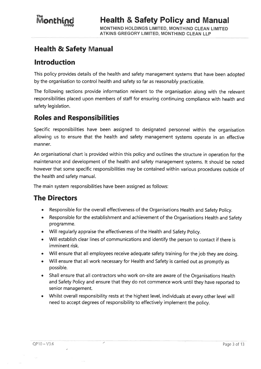### **Health & Safety Manual**

#### **Introduction**

This policy provides details of the health and safety management systems that have been adopted by the organisation to control health and safety so far as reasonably practicable.

The following sections provide information relevant to the organisation along with the relevant responsibilities placed upon members of staff for ensuring continuing compliance with health and safety legislation.

#### **Roles and Responsibilities**

Specific responsibilities have been assigned to designated personnel within the organisation allowing us to ensure that the health and safety management systems operate in an effective manner.

An organisational chart is provided within this policy and outlines the structure in operation for the maintenance and development of the health and safety management systems. It should be noted however that some specific responsibilities may be contained within various procedures outside of the health and safety manual.

The main system responsibilities have been assigned as follows:

1

#### **The Directors**

- Responsible for the overall effectiveness of the Organisations Health and Safety Policy.  $\bullet$
- Responsible for the establishment and achievement of the Organisations Health and Safety programme.
- Will regularly appraise the effectiveness of the Health and Safety Policy.
- Will establish clear lines of communications and identify the person to contact if there is  $\bullet$ imminent risk.
- Will ensure that all employees receive adequate safety training for the job they are doing.
- Will ensure that all work necessary for Health and Safety is carried out as promptly as possible.
- Shall ensure that all contractors who work on-site are aware of the Organisations Health and Safety Policy and ensure that they do not commence work until they have reported to senior management.
- Whilst overall responsibility rests at the highest level, individuals at every other level will need to accept degrees of responsibility to effectively implement the policy.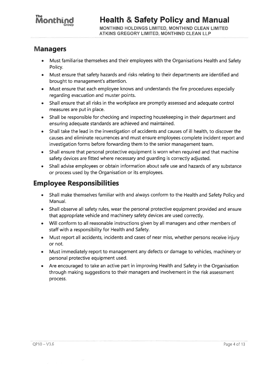## The<br>Monthing

#### **Managers**

- Must familiarise themselves and their employees with the Organisations Health and Safety  $\bullet$ Policy.
- Must ensure that safety hazards and risks relating to their departments are identified and brought to management's attention.
- Must ensure that each employee knows and understands the fire procedures especially regarding evacuation and muster points.
- Shall ensure that all risks in the workplace are promptly assessed and adequate control measures are put in place.
- Shall be responsible for checking and inspecting housekeeping in their department and  $\bullet$ ensuring adequate standards are achieved and maintained.
- Shall take the lead in the investigation of accidents and causes of ill health, to discover the  $\bullet$ causes and eliminate recurrences and must ensure employees complete incident report and investigation forms before forwarding them to the senior management team.
- Shall ensure that personal protective equipment is worn when required and that machine  $\bullet$ safety devices are fitted where necessary and guarding is correctly adjusted.
- Shall advise employees or obtain information about safe use and hazards of any substance or process used by the Organisation or its employees.

#### **Employee Responsibilities**

- Shall make themselves familiar with and always conform to the Health and Safety Policy and  $\bullet$ Manual.
- Shall observe all safety rules, wear the personal protective equipment provided and ensure  $\bullet$ that appropriate vehicle and machinery safety devices are used correctly.
- Will conform to all reasonable instructions given by all managers and other members of  $\bullet$ staff with a responsibility for Health and Safety.
- Must report all accidents, incidents and cases of near miss, whether persons receive injury or not.
- Must immediately report to management any defects or damage to vehicles, machinery or  $\bullet$ personal protective equipment used.
- Are encouraged to take an active part in improving Health and Safety in the Organisation through making suggestions to their managers and involvement in the risk assessment process.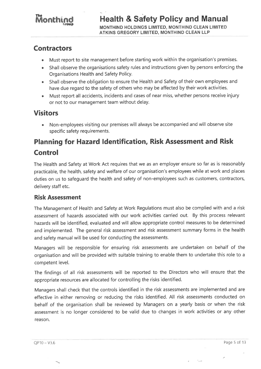## **Monthing**

#### **Contractors**

- Must report to site management before starting work within the organisation's premises.
- Shall observe the organisations safety rules and instructions given by persons enforcing the Organisations Health and Safety Policy.
- Shall observe the obligation to ensure the Health and Safety of their own employees and have due regard to the safety of others who may be affected by their work activities.
- Must report all accidents, incidents and cases of near miss, whether persons receive injury or not to our management team without delay.

### **Visitors**

Non-employees visiting our premises will always be accompanied and will observe site specific safety requirements.

## **Planning for Hazard Identification, Risk Assessment and Risk Control**

The Health and Safety at Work Act requires that we as an employer ensure so far as is reasonably practicable, the health, safety and welfare of our organisation's employees while at work and places duties on us to safequard the health and safety of non-employees such as customers, contractors, delivery staff etc.

#### **Risk Assessment**

The Management of Health and Safety at Work Regulations must also be complied with and a risk assessment of hazards associated with our work activities carried out. By this process relevant hazards will be identified, evaluated and will allow appropriate control measures to be determined and implemented. The general risk assessment and risk assessment summary forms in the health and safety manual will be used for conducting the assessments.

Managers will be responsible for ensuring risk assessments are undertaken on behalf of the organisation and will be provided with suitable training to enable them to undertake this role to a competent level.

The findings of all risk assessments will be reported to the Directors who will ensure that the appropriate resources are allocated for controlling the risks identified.

Managers shall check that the controls identified in the risk assessments are implemented and are effective in either removing or reducing the risks identified. All risk assessments conducted on behalf of the organisation shall be reviewed by Managers on a yearly basis or when the risk assessment is no longer considered to be valid due to changes in work activities or any other reason.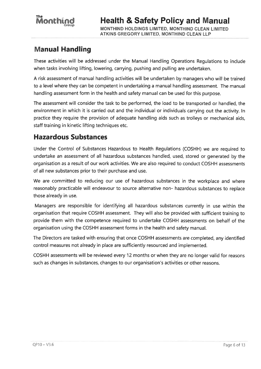#### **Manual Handling**

These activities will be addressed under the Manual Handling Operations Regulations to include when tasks involving lifting, lowering, carrying, pushing and pulling are undertaken.

A risk assessment of manual handling activities will be undertaken by managers who will be trained to a level where they can be competent in undertaking a manual handling assessment. The manual handling assessment form in the health and safety manual can be used for this purpose.

The assessment will consider the task to be performed, the load to be transported or handled, the environment in which it is carried out and the individual or individuals carrying out the activity. In practice they require the provision of adequate handling aids such as trolleys or mechanical aids, staff training in kinetic lifting techniques etc.

#### **Hazardous Substances**

Under the Control of Substances Hazardous to Health Regulations (COSHH) we are reguired to undertake an assessment of all hazardous substances handled, used, stored or generated by the organisation as a result of our work activities. We are also required to conduct COSHH assessments of all new substances prior to their purchase and use.

We are committed to reducing our use of hazardous substances in the workplace and where reasonably practicable will endeavour to source alternative non- hazardous substances to replace those already in use.

Managers are responsible for identifying all hazardous substances currently in use within the organisation that require COSHH assessment. They will also be provided with sufficient training to provide them with the competence required to undertake COSHH assessments on behalf of the organisation using the COSHH assessment forms in the health and safety manual.

The Directors are tasked with ensuring that once COSHH assessments are completed, any identified control measures not already in place are sufficiently resourced and implemented.

COSHH assessments will be reviewed every 12 months or when they are no longer valid for reasons such as changes in substances, changes to our organisation's activities or other reasons.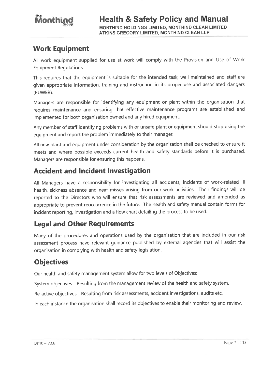### **Work Equipment**

All work equipment supplied for use at work will comply with the Provision and Use of Work **Equipment Requlations.** 

This requires that the equipment is suitable for the intended task, well maintained and staff are given appropriate information, training and instruction in its proper use and associated dangers (PUWER).

Managers are responsible for identifying any equipment or plant within the organisation that requires maintenance and ensuring that effective maintenance programs are established and implemented for both organisation owned and any hired equipment.

Any member of staff identifying problems with or unsafe plant or equipment should stop using the equipment and report the problem immediately to their manager.

All new plant and equipment under consideration by the organisation shall be checked to ensure it meets and where possible exceeds current health and safety standards before it is purchased. Managers are responsible for ensuring this happens.

#### **Accident and Incident Investigation**

All Managers have a responsibility for investigating all accidents, incidents of work-related ill health, sickness absence and near misses arising from our work activities. Their findings will be reported to the Directors who will ensure that risk assessments are reviewed and amended as appropriate to prevent reoccurrence in the future. The health and safety manual contain forms for incident reporting, investigation and a flow chart detailing the process to be used.

#### **Legal and Other Requirements**

Many of the procedures and operations used by the organisation that are included in our risk assessment process have relevant guidance published by external agencies that will assist the organisation in complying with health and safety legislation.

### **Objectives**

Our health and safety management system allow for two levels of Objectives:

System objectives - Resulting from the management review of the health and safety system.

Re-active objectives - Resulting from risk assessments, accident investigations, audits etc.

In each instance the organisation shall record its objectives to enable their monitoring and review.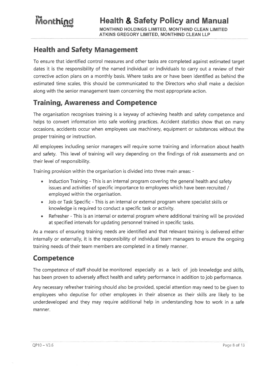#### **Health and Safety Management**

To ensure that identified control measures and other tasks are completed against estimated target dates it is the responsibility of the named individual or individuals to carry out a review of their corrective action plans on a monthly basis. Where tasks are or have been identified as behind the estimated time scales, this should be communicated to the Directors who shall make a decision along with the senior management team concerning the most appropriate action.

### **Training, Awareness and Competence**

The organisation recognises training is a keyway of achieving health and safety competence and helps to convert information into safe working practices. Accident statistics show that on many occasions, accidents occur when employees use machinery, equipment or substances without the proper training or instruction.

All employees including senior managers will require some training and information about health and safety. This level of training will vary depending on the findings of risk assessments and on their level of responsibility.

Training provision within the organisation is divided into three main areas: -

- Induction Training This is an internal program covering the general health and safety  $\bullet$  . issues and activities of specific importance to employees which have been recruited / employed within the organisation.
- Job or Task Specific This is an internal or external program where specialist skills or knowledge is required to conduct a specific task or activity.
- Refresher This is an internal or external program where additional training will be provided  $\bullet$ at specified intervals for updating personnel trained in specific tasks.

As a means of ensuring training needs are identified and that relevant training is delivered either internally or externally, it is the responsibility of individual team managers to ensure the ongoing training needs of their team members are completed in a timely manner.

### **Competence**

The competence of staff should be monitored especially as a lack of job knowledge and skills, has been proven to adversely affect health and safety performance in addition to job performance.

Any necessary refresher training should also be provided, special attention may need to be given to employees who deputise for other employees in their absence as their skills are likely to be underdeveloped and they may require additional help in understanding how to work in a safe manner.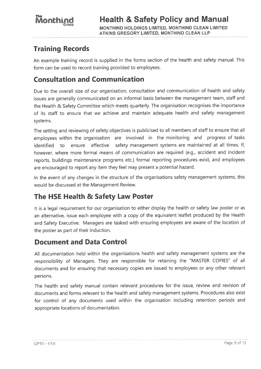### **Training Records**

An example training record is supplied in the forms section of the health and safety manual. This form can be used to record training provided to employees.

### **Consultation and Communication**

Due to the overall size of our organisation, consultation and communication of health and safety issues are generally communicated on an informal basis between the management team, staff and the Health & Safety Committee which meets quarterly. The organisation recognises the importance of its staff to ensure that we achieve and maintain adequate health and safety management systems.

The setting and reviewing of safety objectives is publicised to all members of staff to ensure that all employees within the organisation are involved in the monitoring and progress of tasks ensure effective safety management systems are maintained at all times. If, to identified however, where more formal means of communication are required (e.g., accident and incident reports, buildings maintenance programs etc.) formal reporting procedures exist, and employees are encouraged to report any item they feel may present a potential hazard.

In the event of any changes in the structure of the organisations safety management systems, this would be discussed at the Management Review.

### The HSE Health & Safety Law Poster

It is a legal requirement for our organisation to either display the health or safety law poster or as an alternative, issue each employee with a copy of the equivalent leaflet produced by the Health and Safety Executive. Managers are tasked with ensuring employees are aware of the location of the poster as part of their induction.

### **Document and Data Control**

All documentation held within the organisations health and safety management systems are the responsibility of Managers. They are responsible for retaining the "MASTER COPIES" of all documents and for ensuring that necessary copies are issued to employees or any other relevant persons.

The health and safety manual contain relevant procedures for the issue, review and revision of documents and forms relevant to the health and safety management systems. Procedures also exist for control of any documents used within the organisation including retention periods and appropriate locations of documentation.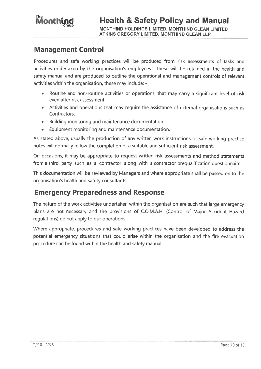

#### **Management Control**

Procedures and safe working practices will be produced from risk assessments of tasks and activities undertaken by the organisation's employees. These will be retained in the health and safety manual and are produced to outline the operational and management controls of relevant activities within the organisation, these may include: -

- Routine and non-routine activities or operations, that may carry a significant level of risk even after risk assessment.
- Activities and operations that may require the assistance of external organisations such as Contractors.
- Building monitoring and maintenance documentation.
- Equipment monitoring and maintenance documentation.

As stated above, usually the production of any written work instructions or safe working practice notes will normally follow the completion of a suitable and sufficient risk assessment.

On occasions, it may be appropriate to request written risk assessments and method statements from a third party such as a contractor along with a contractor prequalification questionnaire.

This documentation will be reviewed by Managers and where appropriate shall be passed on to the organisation's health and safety consultants.

#### **Emergency Preparedness and Response**

The nature of the work activities undertaken within the organisation are such that large emergency plans are not necessary and the provisions of C.O.M.A.H. (Control of Major Accident Hazard regulations) do not apply to our operations.

Where appropriate, procedures and safe working practices have been developed to address the potential emergency situations that could arise within the organisation and the fire evacuation procedure can be found within the health and safety manual.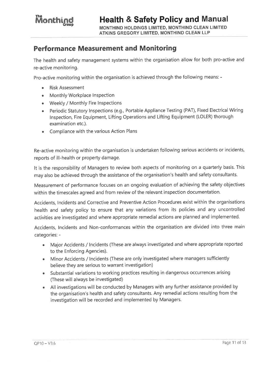ATKINS GREGORY LIMITED. MONTHIND CLEAN LLP

#### **Performance Measurement and Monitoring**

The health and safety management systems within the organisation allow for both pro-active and re-active monitoring.

Pro-active monitoring within the organisation is achieved through the following means: -

- **Risk Assessment**
- Monthly Workplace Inspection
- Weekly / Monthly Fire Inspections
- Periodic Statutory Inspections (e.g., Portable Appliance Testing (PAT), Fixed Electrical Wiring Inspection, Fire Equipment, Lifting Operations and Lifting Equipment (LOLER) thorough examination etc.).
- Compliance with the various Action Plans

Re-active monitoring within the organisation is undertaken following serious accidents or incidents, reports of ill-health or property damage.

It is the responsibility of Managers to review both aspects of monitoring on a quarterly basis. This may also be achieved through the assistance of the organisation's health and safety consultants.

Measurement of performance focuses on an ongoing evaluation of achieving the safety objectives within the timescales agreed and from review of the relevant inspection documentation.

Accidents, Incidents and Corrective and Preventive Action Procedures exist within the organisations health and safety policy to ensure that any variations from its policies and any uncontrolled activities are investigated and where appropriate remedial actions are planned and implemented.

Accidents, Incidents and Non-conformances within the organisation are divided into three main categories: -

- Major Accidents / Incidents (These are always investigated and where appropriate reported to the Enforcing Agencies).
- Minor Accidents / Incidents (These are only investigated where managers sufficiently believe they are serious to warrant investigation)
- Substantial variations to working practices resulting in dangerous occurrences arising (These will always be investigated)
- All investigations will be conducted by Managers with any further assistance provided by the organisation's health and safety consultants. Any remedial actions resulting from the investigation will be recorded and implemented by Managers.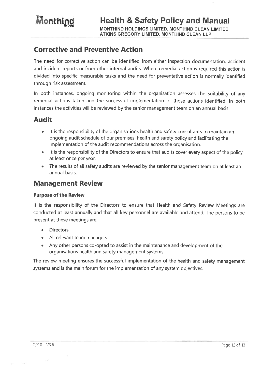MONTHIND HOLDINGS LIMITED, MONTHIND CLEAN LIMITED **ATKINS GREGORY LIMITED, MONTHIND CLEAN LLP** 

#### **Corrective and Preventive Action**

The need for corrective action can be identified from either inspection documentation, accident and incident reports or from other internal audits. Where remedial action is required this action is divided into specific measurable tasks and the need for preventative action is normally identified through risk assessment.

In both instances, ongoing monitoring within the organisation assesses the suitability of any remedial actions taken and the successful implementation of those actions identified. In both instances the activities will be reviewed by the senior management team on an annual basis.

#### **Audit**

- It is the responsibility of the organisations health and safety consultants to maintain an ongoing audit schedule of our premises, health and safety policy and facilitating the implementation of the audit recommendations across the organisation.
- It is the responsibility of the Directors to ensure that audits cover every aspect of the policy at least once per year.
- The results of all safety audits are reviewed by the senior management team on at least an annual basis.

#### **Management Review**

#### **Purpose of the Review**

It is the responsibility of the Directors to ensure that Health and Safety Review Meetings are conducted at least annually and that all key personnel are available and attend. The persons to be present at these meetings are:

- **Directors**  $\bullet$
- All relevant team managers
- Any other persons co-opted to assist in the maintenance and development of the organisations health and safety management systems.

The review meeting ensures the successful implementation of the health and safety management systems and is the main forum for the implementation of any system objectives.